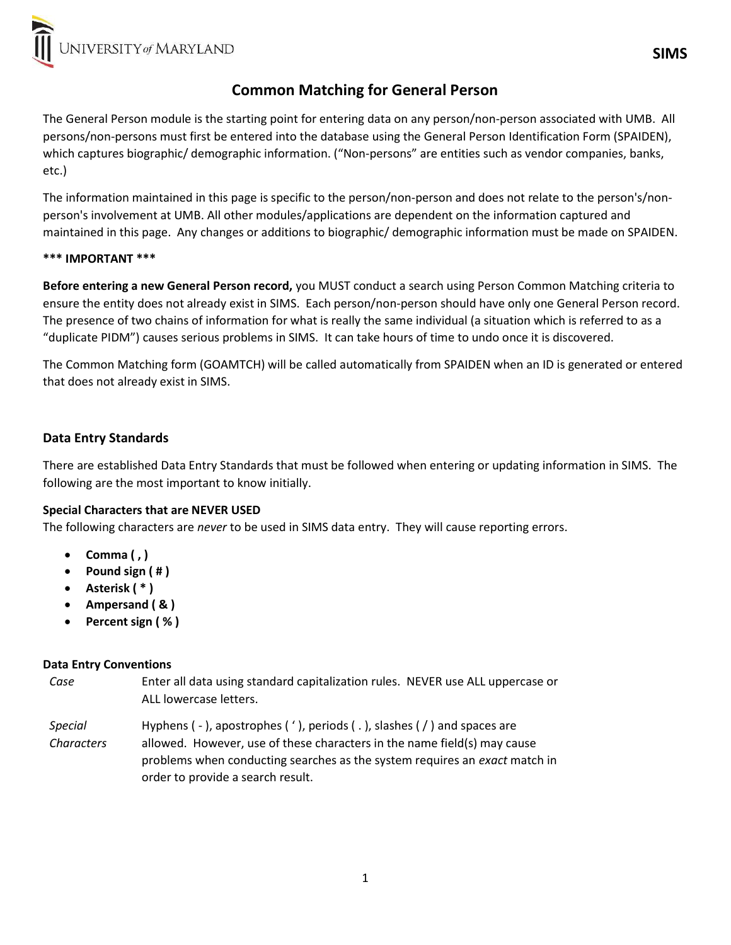# Common Matching for General Person

The General Person module is the starting point for entering data on any person/non-person associated with UMB. All persons/non-persons must first be entered into the database using the General Person Identification Form (SPAIDEN), which captures biographic/ demographic information. ("Non-persons" are entities such as vendor companies, banks, etc.)

The information maintained in this page is specific to the person/non-person and does not relate to the person's/nonperson's involvement at UMB. All other modules/applications are dependent on the information captured and maintained in this page. Any changes or additions to biographic/ demographic information must be made on SPAIDEN.

### \*\*\* IMPORTANT \*\*\*

Before entering a new General Person record, you MUST conduct a search using Person Common Matching criteria to ensure the entity does not already exist in SIMS. Each person/non-person should have only one General Person record. The presence of two chains of information for what is really the same individual (a situation which is referred to as a "duplicate PIDM") causes serious problems in SIMS. It can take hours of time to undo once it is discovered.

The Common Matching form (GOAMTCH) will be called automatically from SPAIDEN when an ID is generated or entered that does not already exist in SIMS.

## Data Entry Standards

There are established Data Entry Standards that must be followed when entering or updating information in SIMS. The following are the most important to know initially.

### Special Characters that are NEVER USED

The following characters are *never* to be used in SIMS data entry. They will cause reporting errors.

- Comma $($ , $)$
- Pound sign  $( # )$
- Asterisk (\*)
- Ampersand ( & )
- Percent sign ( % )

### Data Entry Conventions

Case Enter all data using standard capitalization rules. NEVER use ALL uppercase or ALL lowercase letters.

Special **Characters** Hyphens ( - ), apostrophes ( ' ), periods ( . ), slashes ( / ) and spaces are allowed. However, use of these characters in the name field(s) may cause problems when conducting searches as the system requires an exact match in order to provide a search result.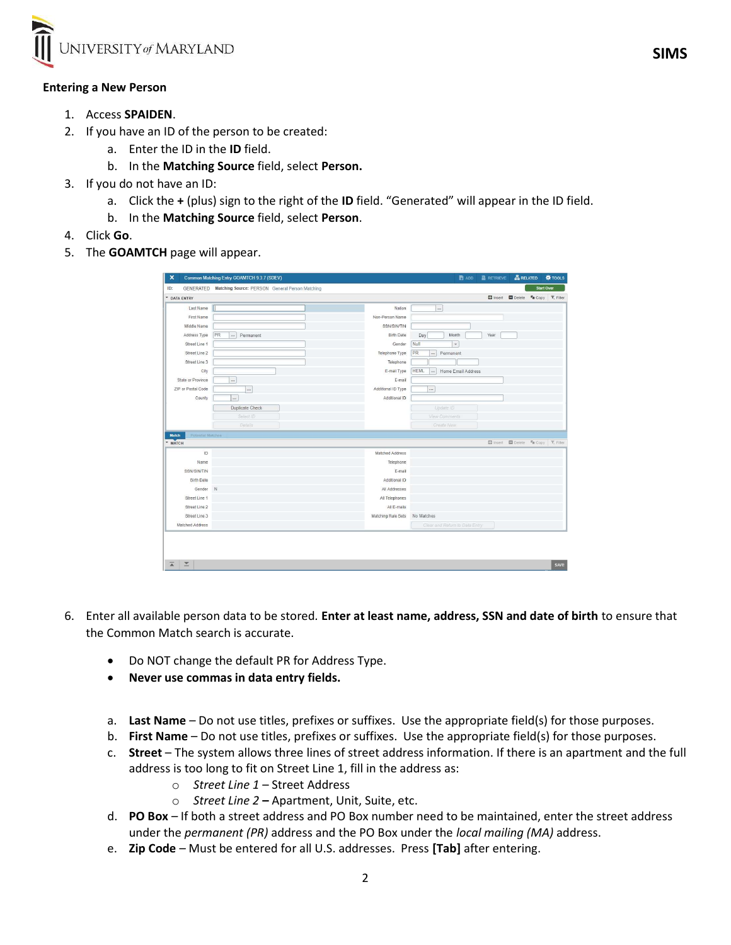

#### Entering a New Person

- 1. Access SPAIDEN.
- 2. If you have an ID of the person to be created:
	- a. Enter the ID in the ID field.
	- b. In the Matching Source field, select Person.
- 3. If you do not have an ID:
	- a. Click the + (plus) sign to the right of the ID field. "Generated" will appear in the ID field.
	- b. In the Matching Source field, select Person.
- 4. Click Go.
- 5. The **GOAMTCH** page will appear.

|                                   | Common Matching Entry GOAMTCH 9.3.7 (SDEV)                |                    | $B$ ADD                                       | <b>RETRIEVE</b> | <b>ARELATED</b>                                                  |                   | <b>W</b> TOOLS |
|-----------------------------------|-----------------------------------------------------------|--------------------|-----------------------------------------------|-----------------|------------------------------------------------------------------|-------------------|----------------|
|                                   | GENERATED Matching Source: PERSON General Person Matching |                    |                                               |                 |                                                                  | <b>Start Over</b> |                |
| * DATA ENTRY                      |                                                           |                    |                                               |                 | <b>El Insert El Delete Fa</b> Copy <b>Y</b> , Filter             |                   |                |
| Last Name                         |                                                           | Nation             | $\ddotsc$                                     |                 |                                                                  |                   |                |
| First Name                        |                                                           | Non-Person Name    |                                               |                 |                                                                  |                   |                |
| Middle Name                       |                                                           | SSN/SIN/TIN        |                                               |                 |                                                                  |                   |                |
| Address Type                      | PR<br>Permanent<br>$\cdots$                               | <b>Birth Date</b>  | Day<br>Month                                  | Year            |                                                                  |                   |                |
| Street Line 1                     |                                                           | Gender             | Null<br>$\star$                               |                 |                                                                  |                   |                |
| Street Line 2                     |                                                           | Telephone Type     | PR<br>Permanent<br>$\cdots$                   |                 |                                                                  |                   |                |
| Street Line 3                     |                                                           | Telephone          |                                               |                 |                                                                  |                   |                |
| City                              |                                                           | E-mail Type        | <b>HEML</b><br>Home Email Address<br>$\cdots$ |                 |                                                                  |                   |                |
| State or Province                 |                                                           | E-mail             |                                               |                 |                                                                  |                   |                |
| ZIP or Postal Code                | $\cdots$                                                  | Additional ID Type | $\cdots$                                      |                 |                                                                  |                   |                |
| County                            | $\ldots$                                                  | Additional ID      |                                               |                 |                                                                  |                   |                |
|                                   | Duplicate Check                                           |                    | Update ID                                     |                 |                                                                  |                   |                |
|                                   |                                                           |                    |                                               |                 |                                                                  |                   |                |
|                                   | Select ID                                                 |                    | <b>View Comments</b>                          |                 |                                                                  |                   |                |
|                                   | Details                                                   |                    | Create New                                    |                 |                                                                  |                   |                |
| Match<br><b>Potential Matches</b> |                                                           |                    |                                               |                 |                                                                  |                   |                |
| <b>MATCH</b>                      |                                                           |                    |                                               |                 | <b>D</b> Insert <b>D</b> Delete <b>Wa</b> Copy <b>P</b> , Filter |                   |                |
| ID                                |                                                           | Matched Address    |                                               |                 |                                                                  |                   |                |
| Name                              |                                                           | Telephone          |                                               |                 |                                                                  |                   |                |
| SSN/SIN/TIN                       |                                                           | E-mail             |                                               |                 |                                                                  |                   |                |
| <b>Birth Date</b>                 |                                                           | Additional ID      |                                               |                 |                                                                  |                   |                |
| Gender                            | N                                                         | All Addresses      |                                               |                 |                                                                  |                   |                |
| Street Line 1                     |                                                           | All Telephones     |                                               |                 |                                                                  |                   |                |
| Street Line 2                     |                                                           | All E-mails        |                                               |                 |                                                                  |                   |                |
| Street Line 3                     |                                                           | Matching Rule Sets | No Matches                                    |                 |                                                                  |                   |                |

- 6. Enter all available person data to be stored. Enter at least name, address, SSN and date of birth to ensure that the Common Match search is accurate.
	- Do NOT change the default PR for Address Type.
	- Never use commas in data entry fields.
	- a. Last Name Do not use titles, prefixes or suffixes. Use the appropriate field(s) for those purposes.
	- b. First Name Do not use titles, prefixes or suffixes. Use the appropriate field(s) for those purposes.
	- c. Street The system allows three lines of street address information. If there is an apartment and the full address is too long to fit on Street Line 1, fill in the address as:
		- o Street Line 1 Street Address
		- o Street Line 2 Apartment, Unit, Suite, etc.
	- d. PO Box If both a street address and PO Box number need to be maintained, enter the street address under the permanent (PR) address and the PO Box under the local mailing (MA) address.
	- e. Zip Code Must be entered for all U.S. addresses. Press [Tab] after entering.

**SIMS** SIMS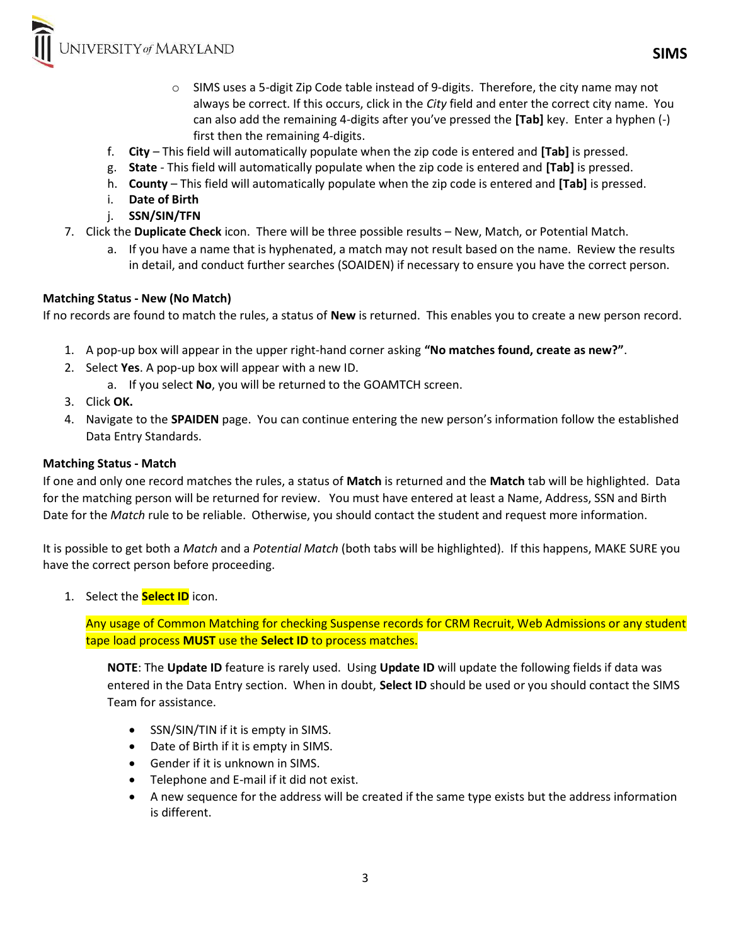NIVERSITY of MARYLAND

- o SIMS uses a 5-digit Zip Code table instead of 9-digits. Therefore, the city name may not always be correct. If this occurs, click in the City field and enter the correct city name. You can also add the remaining 4-digits after you've pressed the [Tab] key. Enter a hyphen (-) first then the remaining 4-digits.
- f. City This field will automatically populate when the zip code is entered and [Tab] is pressed.
- g. State This field will automatically populate when the zip code is entered and [Tab] is pressed.
- h. County This field will automatically populate when the zip code is entered and [Tab] is pressed.
- i. Date of Birth
- j. SSN/SIN/TFN
- 7. Click the Duplicate Check icon. There will be three possible results New, Match, or Potential Match.
	- a. If you have a name that is hyphenated, a match may not result based on the name. Review the results in detail, and conduct further searches (SOAIDEN) if necessary to ensure you have the correct person.

### Matching Status - New (No Match)

If no records are found to match the rules, a status of New is returned. This enables you to create a new person record.

- 1. A pop-up box will appear in the upper right-hand corner asking "No matches found, create as new?".
- 2. Select Yes. A pop-up box will appear with a new ID.
	- a. If you select No, you will be returned to the GOAMTCH screen.
- 3. Click OK.
- 4. Navigate to the SPAIDEN page. You can continue entering the new person's information follow the established Data Entry Standards.

#### Matching Status - Match

If one and only one record matches the rules, a status of Match is returned and the Match tab will be highlighted. Data for the matching person will be returned for review. You must have entered at least a Name, Address, SSN and Birth Date for the Match rule to be reliable. Otherwise, you should contact the student and request more information.

It is possible to get both a Match and a Potential Match (both tabs will be highlighted). If this happens, MAKE SURE you have the correct person before proceeding.

1. Select the **Select ID** icon.

Any usage of Common Matching for checking Suspense records for CRM Recruit, Web Admissions or any student tape load process MUST use the Select ID to process matches.

NOTE: The Update ID feature is rarely used. Using Update ID will update the following fields if data was entered in the Data Entry section. When in doubt, Select ID should be used or you should contact the SIMS Team for assistance.

- SSN/SIN/TIN if it is empty in SIMS.
- Date of Birth if it is empty in SIMS.
- Gender if it is unknown in SIMS.
- Telephone and E-mail if it did not exist.
- A new sequence for the address will be created if the same type exists but the address information is different.